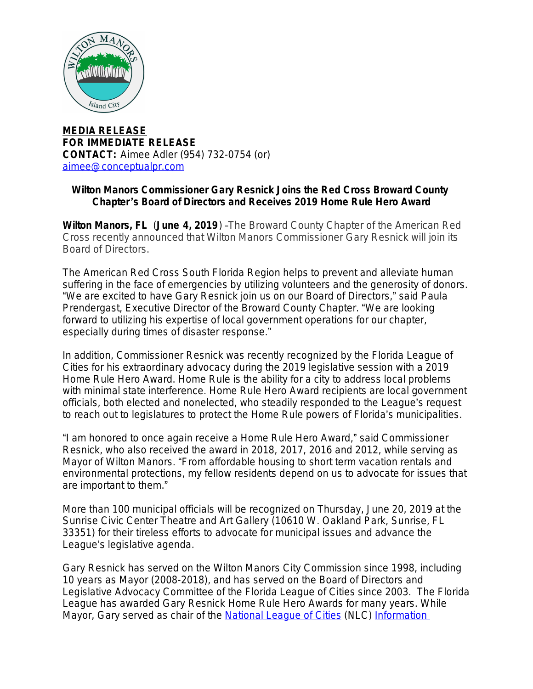

**MEDIA RELEASE FOR IMMEDIATE RELEASE CONTACT:** Aimee Adler (954) 732-0754 (or) [aimee@conceptualpr.com](mailto:aimee@conceptualpr.com)

## **Wilton Manors Commissioner Gary Resnick Joins the Red Cross Broward County Chapter**'**s Board of Directors and Receives 2019 Home Rule Hero Award**

**Wilton Manors, FL** (**June 4, 2019**) –The Broward County Chapter of the American Red Cross recently announced that Wilton Manors Commissioner Gary Resnick will join its Board of Directors.

The American Red Cross South Florida Region helps to prevent and alleviate human suffering in the face of emergencies by utilizing volunteers and the generosity of donors. "We are excited to have Gary Resnick join us on our Board of Directors," said Paula Prendergast, Executive Director of the Broward County Chapter. "We are looking forward to utilizing his expertise of local government operations for our chapter, especially during times of disaster response."

In addition, Commissioner Resnick was recently recognized by the Florida League of Cities for his extraordinary advocacy during the 2019 legislative session with a 2019 Home Rule Hero Award. Home Rule is the ability for a city to address local problems with minimal state interference. Home Rule Hero Award recipients are local government officials, both elected and nonelected, who steadily responded to the League's request to reach out to legislatures to protect the Home Rule powers of Florida's municipalities.

"I am honored to once again receive a Home Rule Hero Award," said Commissioner Resnick, who also received the award in 2018, 2017, 2016 and 2012, while serving as Mayor of Wilton Manors. "From affordable housing to short term vacation rentals and environmental protections, my fellow residents depend on us to advocate for issues that are important to them."

More than 100 municipal officials will be recognized on Thursday, June 20, 2019 at the Sunrise Civic Center Theatre and Art Gallery (10610 W. Oakland Park, Sunrise, FL 33351) for their tireless efforts to advocate for municipal issues and advance the League's legislative agenda.

Gary Resnick has served on the Wilton Manors City Commission since 1998, including 10 years as Mayor (2008-2018), and has served on the Board of Directors and Legislative Advocacy Committee of the Florida League of Cities since 2003. The Florida League has awarded Gary Resnick Home Rule Hero Awards for many years. While Mayor, Gary served as chair of the **National League of Cities** (NLC) Information